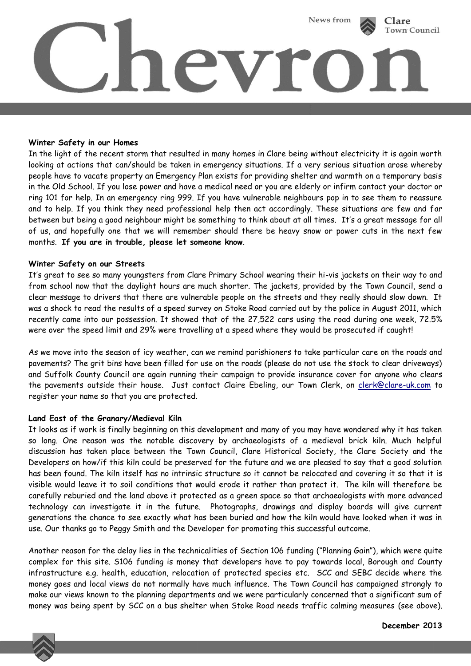

### **Winter Safety in our Homes**

In the light of the recent storm that resulted in many homes in Clare being without electricity it is again worth looking at actions that can/should be taken in emergency situations. If a very serious situation arose whereby people have to vacate property an Emergency Plan exists for providing shelter and warmth on a temporary basis in the Old School. If you lose power and have a medical need or you are elderly or infirm contact your doctor or ring 101 for help. In an emergency ring 999. If you have vulnerable neighbours pop in to see them to reassure and to help. If you think they need professional help then act accordingly. These situations are few and far between but being a good neighbour might be something to think about at all times. It's a great message for all of us, and hopefully one that we will remember should there be heavy snow or power cuts in the next few months. **If you are in trouble, please let someone know**.

#### **Winter Safety on our Streets**

It's great to see so many youngsters from Clare Primary School wearing their hi-vis jackets on their way to and from school now that the daylight hours are much shorter. The jackets, provided by the Town Council, send a clear message to drivers that there are vulnerable people on the streets and they really should slow down. It was a shock to read the results of a speed survey on Stoke Road carried out by the police in August 2011, which recently came into our possession. It showed that of the 27,522 cars using the road during one week, 72.5% were over the speed limit and 29% were travelling at a speed where they would be prosecuted if caught!

As we move into the season of icy weather, can we remind parishioners to take particular care on the roads and pavements? The grit bins have been filled for use on the roads (please do not use the stock to clear driveways) and Suffolk County Council are again running their campaign to provide insurance cover for anyone who clears the pavements outside their house. Just contact Claire Ebeling, our Town Clerk, on [clerk@clare-uk.com](mailto:clerk@clare-uk.com) to register your name so that you are protected.

## **Land East of the Granary/Medieval Kiln**

It looks as if work is finally beginning on this development and many of you may have wondered why it has taken so long. One reason was the notable discovery by archaeologists of a medieval brick kiln. Much helpful discussion has taken place between the Town Council, Clare Historical Society, the Clare Society and the Developers on how/if this kiln could be preserved for the future and we are pleased to say that a good solution has been found. The kiln itself has no intrinsic structure so it cannot be relocated and covering it so that it is visible would leave it to soil conditions that would erode it rather than protect it. The kiln will therefore be carefully reburied and the land above it protected as a green space so that archaeologists with more advanced technology can investigate it in the future. Photographs, drawings and display boards will give current generations the chance to see exactly what has been buried and how the kiln would have looked when it was in use. Our thanks go to Peggy Smith and the Developer for promoting this successful outcome.

Another reason for the delay lies in the technicalities of Section 106 funding ("Planning Gain"), which were quite complex for this site. S106 funding is money that developers have to pay towards local, Borough and County infrastructure e.g. health, education, relocation of protected species etc. SCC and SEBC decide where the money goes and local views do not normally have much influence. The Town Council has campaigned strongly to make our views known to the planning departments and we were particularly concerned that a significant sum of money was being spent by SCC on a bus shelter when Stoke Road needs traffic calming measures (see above).